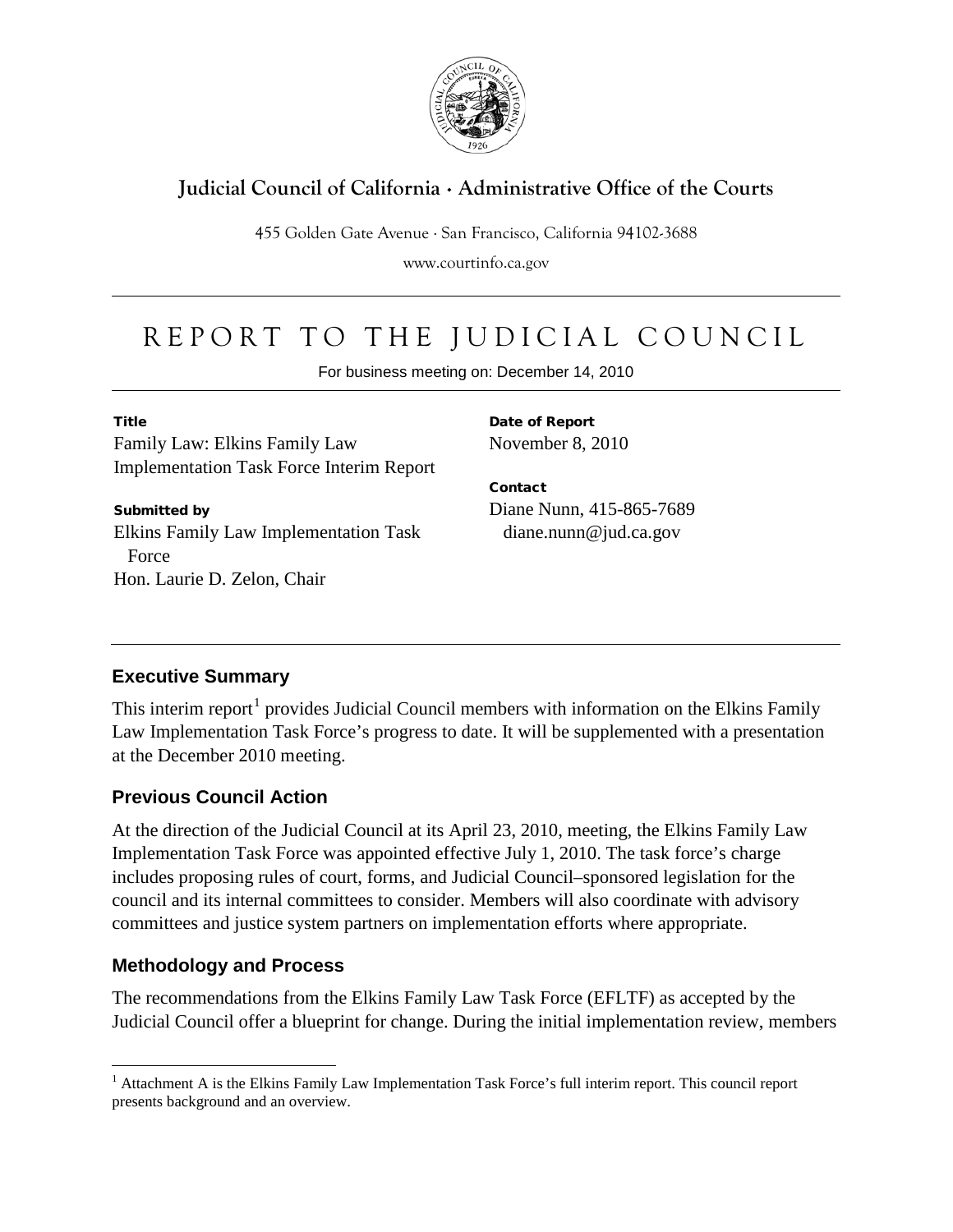

## **Judicial Council of California** . **Administrative Office of the Courts**

455 Golden Gate Avenue . San Francisco, California 94102-3688

www.courtinfo.ca.gov

# REPORT TO THE JUDICIAL COUNCIL

For business meeting on: December 14, 2010

Title

Family Law: Elkins Family Law Implementation Task Force Interim Report

Submitted by Elkins Family Law Implementation Task Force Hon. Laurie D. Zelon, Chair

Date of Report November 8, 2010

Contact Diane Nunn, 415-865-7689 diane.nunn@jud.ca.gov

## **Executive Summary**

This interim report<sup>[1](#page-0-0)</sup> provides Judicial Council members with information on the Elkins Family Law Implementation Task Force's progress to date. It will be supplemented with a presentation at the December 2010 meeting.

#### **Previous Council Action**

At the direction of the Judicial Council at its April 23, 2010, meeting, the Elkins Family Law Implementation Task Force was appointed effective July 1, 2010. The task force's charge includes proposing rules of court, forms, and Judicial Council–sponsored legislation for the council and its internal committees to consider. Members will also coordinate with advisory committees and justice system partners on implementation efforts where appropriate.

## **Methodology and Process**

The recommendations from the Elkins Family Law Task Force (EFLTF) as accepted by the Judicial Council offer a blueprint for change. During the initial implementation review, members

<span id="page-0-0"></span> $<sup>1</sup>$  Attachment A is the Elkins Family Law Implementation Task Force's full interim report. This council report</sup> presents background and an overview.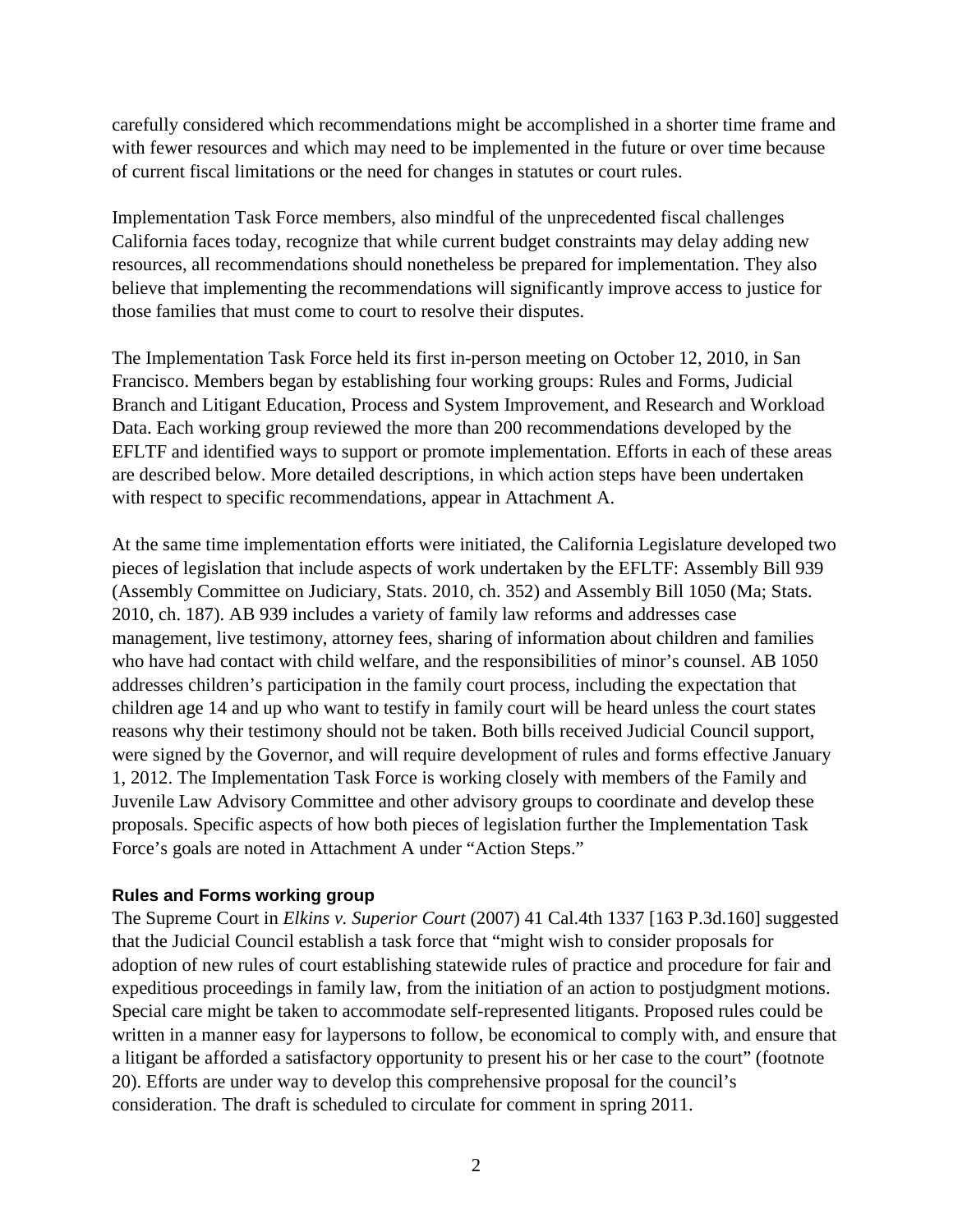carefully considered which recommendations might be accomplished in a shorter time frame and with fewer resources and which may need to be implemented in the future or over time because of current fiscal limitations or the need for changes in statutes or court rules.

Implementation Task Force members, also mindful of the unprecedented fiscal challenges California faces today, recognize that while current budget constraints may delay adding new resources, all recommendations should nonetheless be prepared for implementation. They also believe that implementing the recommendations will significantly improve access to justice for those families that must come to court to resolve their disputes.

The Implementation Task Force held its first in-person meeting on October 12, 2010, in San Francisco. Members began by establishing four working groups: Rules and Forms, Judicial Branch and Litigant Education, Process and System Improvement, and Research and Workload Data. Each working group reviewed the more than 200 recommendations developed by the EFLTF and identified ways to support or promote implementation. Efforts in each of these areas are described below. More detailed descriptions, in which action steps have been undertaken with respect to specific recommendations, appear in Attachment A.

At the same time implementation efforts were initiated, the California Legislature developed two pieces of legislation that include aspects of work undertaken by the EFLTF: Assembly Bill 939 (Assembly Committee on Judiciary, Stats. 2010, ch. 352) and Assembly Bill 1050 (Ma; Stats. 2010, ch. 187). AB 939 includes a variety of family law reforms and addresses case management, live testimony, attorney fees, sharing of information about children and families who have had contact with child welfare, and the responsibilities of minor's counsel. AB 1050 addresses children's participation in the family court process, including the expectation that children age 14 and up who want to testify in family court will be heard unless the court states reasons why their testimony should not be taken. Both bills received Judicial Council support, were signed by the Governor, and will require development of rules and forms effective January 1, 2012. The Implementation Task Force is working closely with members of the Family and Juvenile Law Advisory Committee and other advisory groups to coordinate and develop these proposals. Specific aspects of how both pieces of legislation further the Implementation Task Force's goals are noted in Attachment A under "Action Steps."

#### **Rules and Forms working group**

The Supreme Court in *Elkins v. Superior Court* (2007) 41 Cal.4th 1337 [163 P.3d.160] suggested that the Judicial Council establish a task force that "might wish to consider proposals for adoption of new rules of court establishing statewide rules of practice and procedure for fair and expeditious proceedings in family law, from the initiation of an action to postjudgment motions. Special care might be taken to accommodate self-represented litigants. Proposed rules could be written in a manner easy for laypersons to follow, be economical to comply with, and ensure that a litigant be afforded a satisfactory opportunity to present his or her case to the court" (footnote 20). Efforts are under way to develop this comprehensive proposal for the council's consideration. The draft is scheduled to circulate for comment in spring 2011.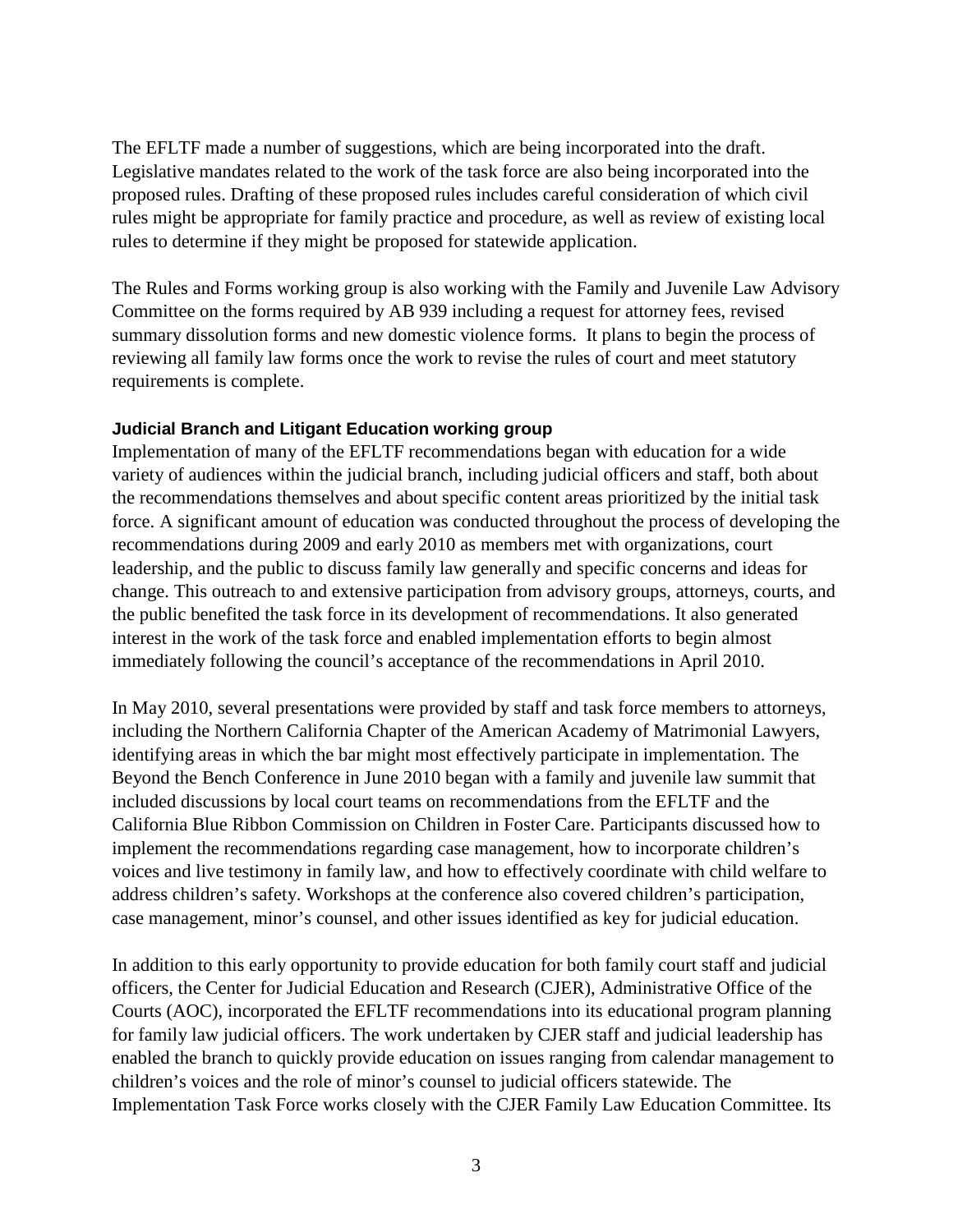The EFLTF made a number of suggestions, which are being incorporated into the draft. Legislative mandates related to the work of the task force are also being incorporated into the proposed rules. Drafting of these proposed rules includes careful consideration of which civil rules might be appropriate for family practice and procedure, as well as review of existing local rules to determine if they might be proposed for statewide application.

The Rules and Forms working group is also working with the Family and Juvenile Law Advisory Committee on the forms required by AB 939 including a request for attorney fees, revised summary dissolution forms and new domestic violence forms. It plans to begin the process of reviewing all family law forms once the work to revise the rules of court and meet statutory requirements is complete.

#### **Judicial Branch and Litigant Education working group**

Implementation of many of the EFLTF recommendations began with education for a wide variety of audiences within the judicial branch, including judicial officers and staff, both about the recommendations themselves and about specific content areas prioritized by the initial task force. A significant amount of education was conducted throughout the process of developing the recommendations during 2009 and early 2010 as members met with organizations, court leadership, and the public to discuss family law generally and specific concerns and ideas for change. This outreach to and extensive participation from advisory groups, attorneys, courts, and the public benefited the task force in its development of recommendations. It also generated interest in the work of the task force and enabled implementation efforts to begin almost immediately following the council's acceptance of the recommendations in April 2010.

In May 2010, several presentations were provided by staff and task force members to attorneys, including the Northern California Chapter of the American Academy of Matrimonial Lawyers, identifying areas in which the bar might most effectively participate in implementation. The Beyond the Bench Conference in June 2010 began with a family and juvenile law summit that included discussions by local court teams on recommendations from the EFLTF and the California Blue Ribbon Commission on Children in Foster Care. Participants discussed how to implement the recommendations regarding case management, how to incorporate children's voices and live testimony in family law, and how to effectively coordinate with child welfare to address children's safety. Workshops at the conference also covered children's participation, case management, minor's counsel, and other issues identified as key for judicial education.

In addition to this early opportunity to provide education for both family court staff and judicial officers, the Center for Judicial Education and Research (CJER), Administrative Office of the Courts (AOC), incorporated the EFLTF recommendations into its educational program planning for family law judicial officers. The work undertaken by CJER staff and judicial leadership has enabled the branch to quickly provide education on issues ranging from calendar management to children's voices and the role of minor's counsel to judicial officers statewide. The Implementation Task Force works closely with the CJER Family Law Education Committee. Its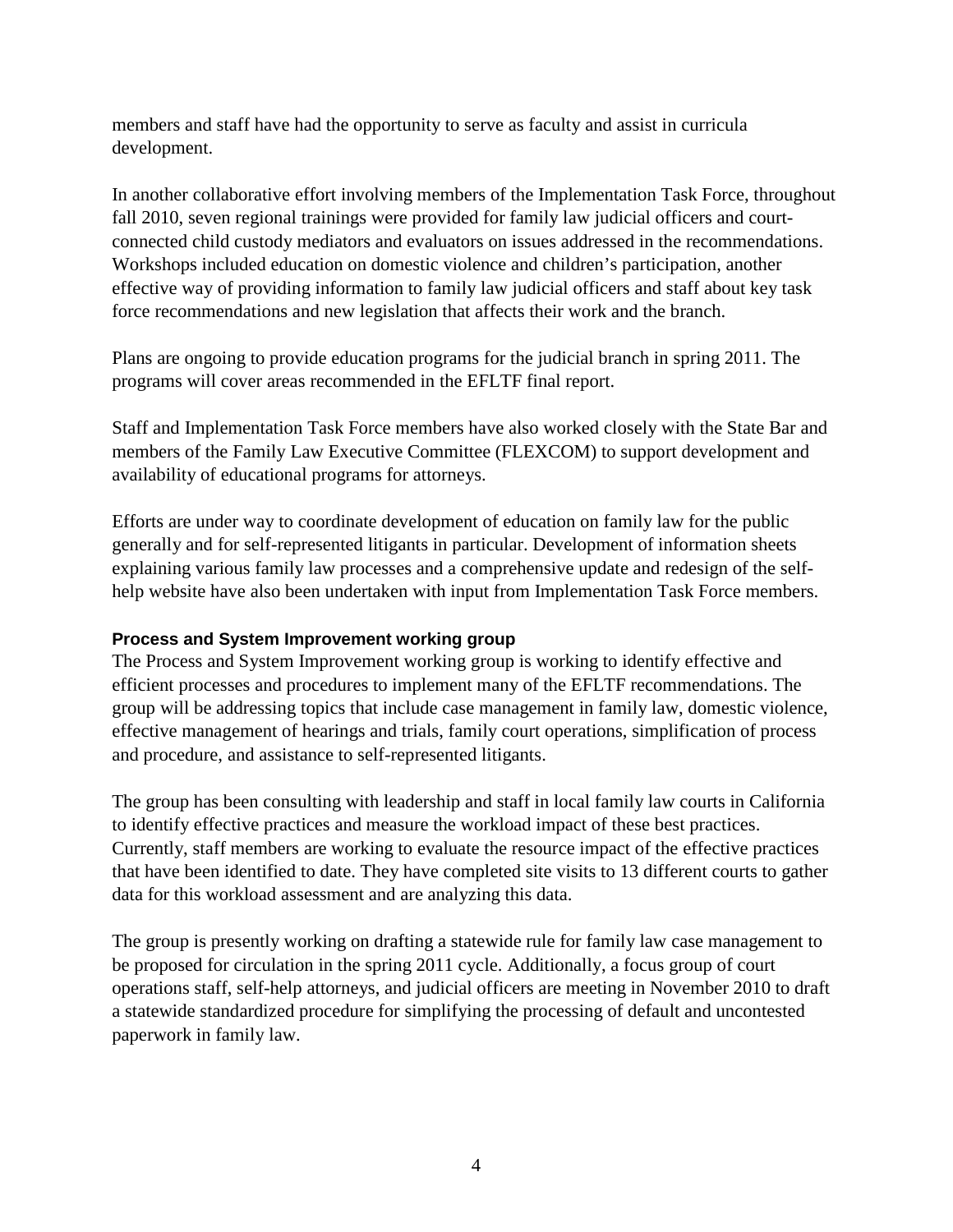members and staff have had the opportunity to serve as faculty and assist in curricula development.

In another collaborative effort involving members of the Implementation Task Force, throughout fall 2010, seven regional trainings were provided for family law judicial officers and courtconnected child custody mediators and evaluators on issues addressed in the recommendations. Workshops included education on domestic violence and children's participation, another effective way of providing information to family law judicial officers and staff about key task force recommendations and new legislation that affects their work and the branch.

Plans are ongoing to provide education programs for the judicial branch in spring 2011. The programs will cover areas recommended in the EFLTF final report.

Staff and Implementation Task Force members have also worked closely with the State Bar and members of the Family Law Executive Committee (FLEXCOM) to support development and availability of educational programs for attorneys.

Efforts are under way to coordinate development of education on family law for the public generally and for self-represented litigants in particular. Development of information sheets explaining various family law processes and a comprehensive update and redesign of the selfhelp website have also been undertaken with input from Implementation Task Force members.

#### **Process and System Improvement working group**

The Process and System Improvement working group is working to identify effective and efficient processes and procedures to implement many of the EFLTF recommendations. The group will be addressing topics that include case management in family law, domestic violence, effective management of hearings and trials, family court operations, simplification of process and procedure, and assistance to self-represented litigants.

The group has been consulting with leadership and staff in local family law courts in California to identify effective practices and measure the workload impact of these best practices. Currently, staff members are working to evaluate the resource impact of the effective practices that have been identified to date. They have completed site visits to 13 different courts to gather data for this workload assessment and are analyzing this data.

The group is presently working on drafting a statewide rule for family law case management to be proposed for circulation in the spring 2011 cycle. Additionally, a focus group of court operations staff, self-help attorneys, and judicial officers are meeting in November 2010 to draft a statewide standardized procedure for simplifying the processing of default and uncontested paperwork in family law.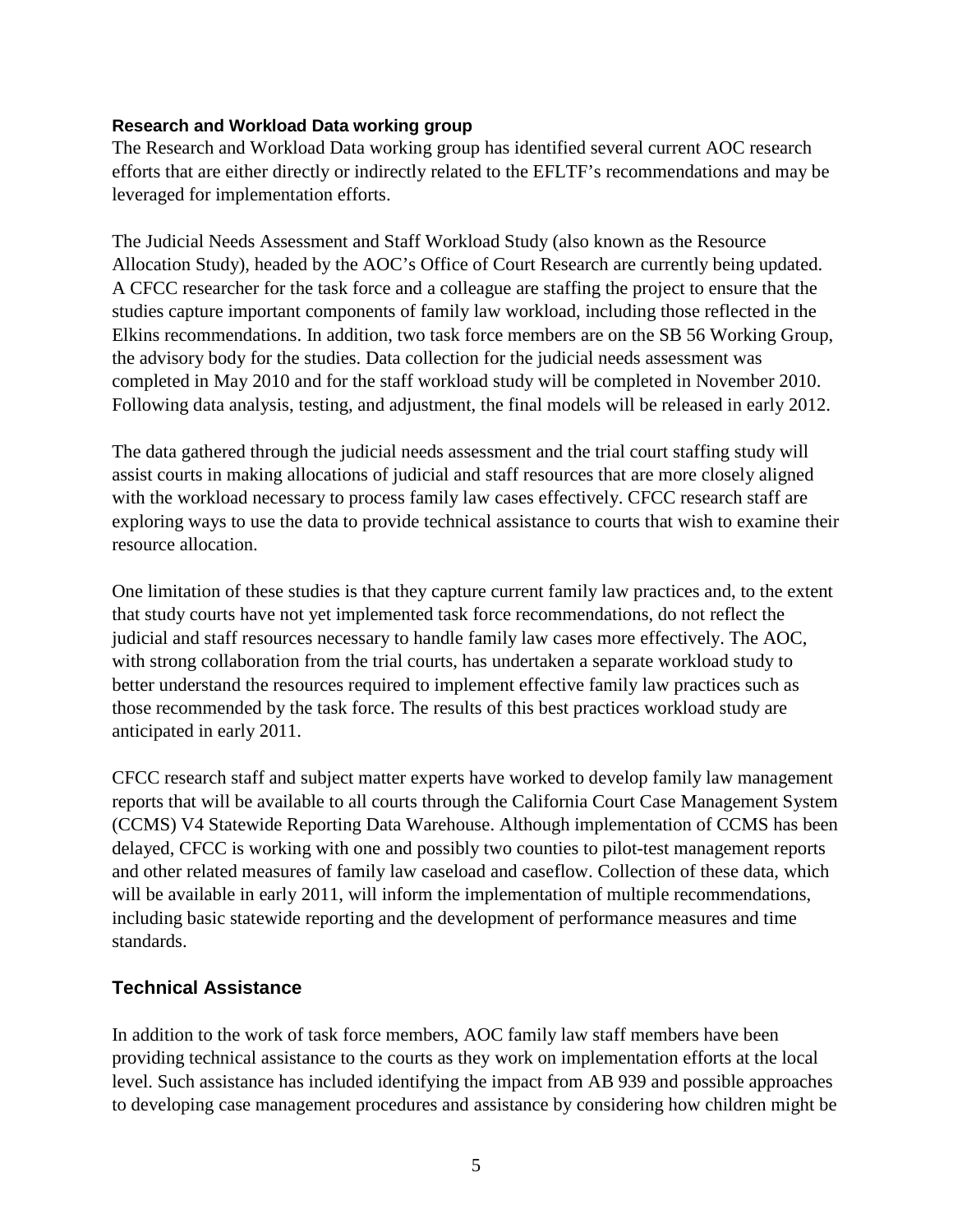#### **Research and Workload Data working group**

The Research and Workload Data working group has identified several current AOC research efforts that are either directly or indirectly related to the EFLTF's recommendations and may be leveraged for implementation efforts.

The Judicial Needs Assessment and Staff Workload Study (also known as the Resource Allocation Study), headed by the AOC's Office of Court Research are currently being updated. A CFCC researcher for the task force and a colleague are staffing the project to ensure that the studies capture important components of family law workload, including those reflected in the Elkins recommendations. In addition, two task force members are on the SB 56 Working Group, the advisory body for the studies. Data collection for the judicial needs assessment was completed in May 2010 and for the staff workload study will be completed in November 2010. Following data analysis, testing, and adjustment, the final models will be released in early 2012.

The data gathered through the judicial needs assessment and the trial court staffing study will assist courts in making allocations of judicial and staff resources that are more closely aligned with the workload necessary to process family law cases effectively. CFCC research staff are exploring ways to use the data to provide technical assistance to courts that wish to examine their resource allocation.

One limitation of these studies is that they capture current family law practices and, to the extent that study courts have not yet implemented task force recommendations, do not reflect the judicial and staff resources necessary to handle family law cases more effectively. The AOC, with strong collaboration from the trial courts, has undertaken a separate workload study to better understand the resources required to implement effective family law practices such as those recommended by the task force. The results of this best practices workload study are anticipated in early 2011.

CFCC research staff and subject matter experts have worked to develop family law management reports that will be available to all courts through the California Court Case Management System (CCMS) V4 Statewide Reporting Data Warehouse. Although implementation of CCMS has been delayed, CFCC is working with one and possibly two counties to pilot-test management reports and other related measures of family law caseload and caseflow. Collection of these data, which will be available in early 2011, will inform the implementation of multiple recommendations, including basic statewide reporting and the development of performance measures and time standards.

#### **Technical Assistance**

In addition to the work of task force members, AOC family law staff members have been providing technical assistance to the courts as they work on implementation efforts at the local level. Such assistance has included identifying the impact from AB 939 and possible approaches to developing case management procedures and assistance by considering how children might be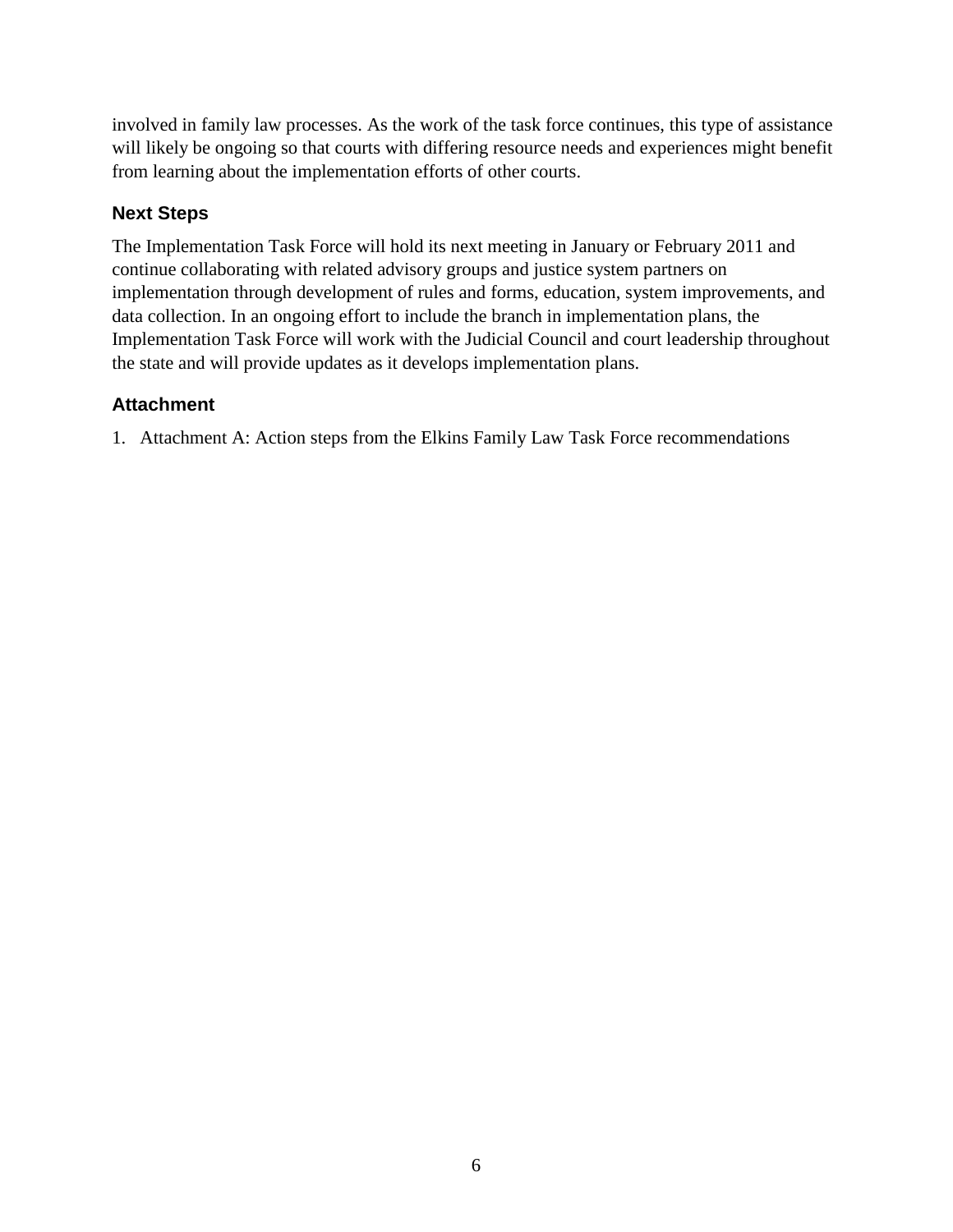involved in family law processes. As the work of the task force continues, this type of assistance will likely be ongoing so that courts with differing resource needs and experiences might benefit from learning about the implementation efforts of other courts.

## **Next Steps**

The Implementation Task Force will hold its next meeting in January or February 2011 and continue collaborating with related advisory groups and justice system partners on implementation through development of rules and forms, education, system improvements, and data collection. In an ongoing effort to include the branch in implementation plans, the Implementation Task Force will work with the Judicial Council and court leadership throughout the state and will provide updates as it develops implementation plans.

## **Attachment**

1. Attachment A: Action steps from the Elkins Family Law Task Force recommendations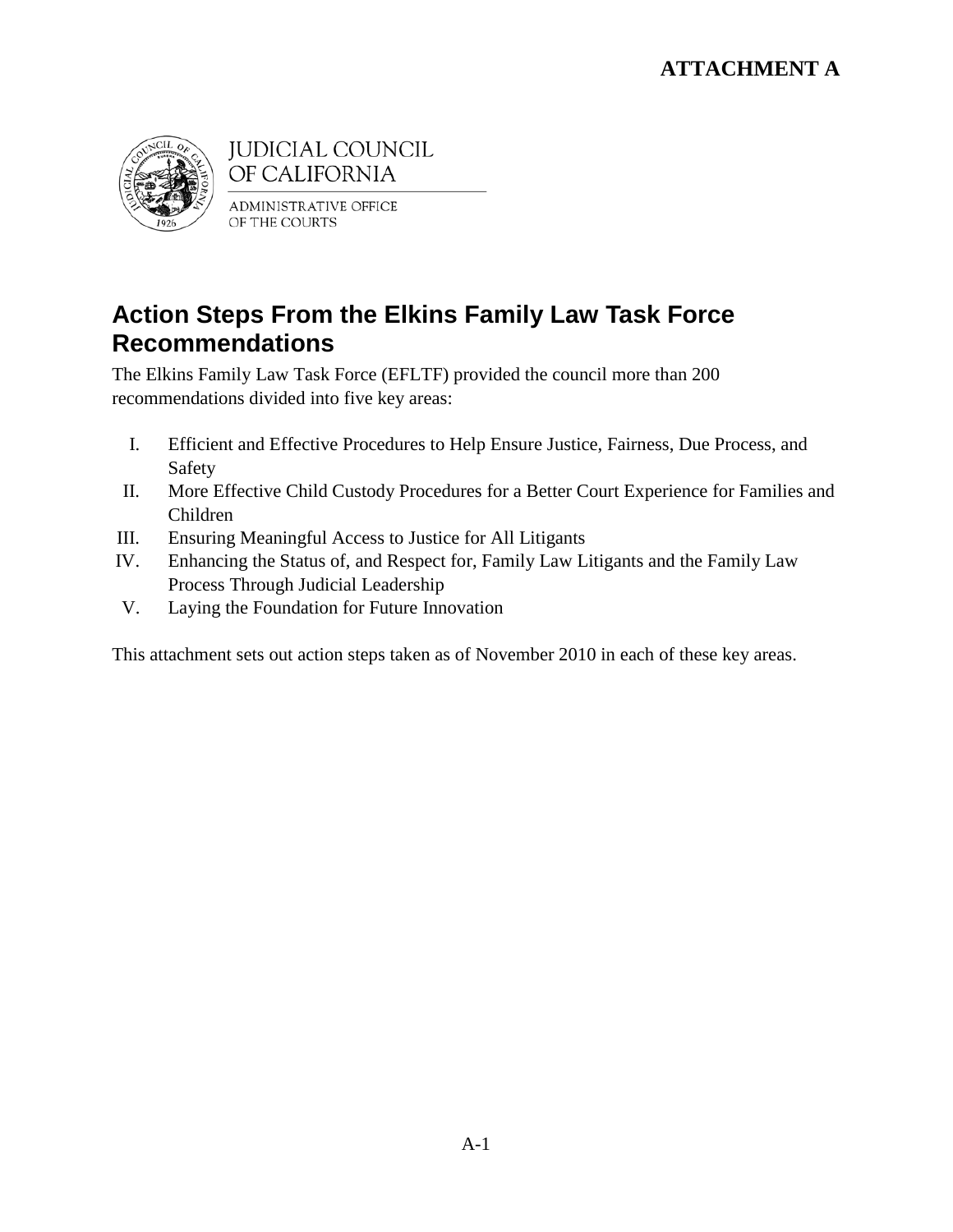

**JUDICIAL COUNCIL** OF CALIFORNIA

**ADMINISTRATIVE OFFICE** OF THE COURTS

# **Action Steps From the Elkins Family Law Task Force Recommendations**

The Elkins Family Law Task Force (EFLTF) provided the council more than 200 recommendations divided into five key areas:

- I. Efficient and Effective Procedures to Help Ensure Justice, Fairness, Due Process, and Safety
- II. More Effective Child Custody Procedures for a Better Court Experience for Families and Children
- III. Ensuring Meaningful Access to Justice for All Litigants
- IV. Enhancing the Status of, and Respect for, Family Law Litigants and the Family Law Process Through Judicial Leadership
- V. Laying the Foundation for Future Innovation

This attachment sets out action steps taken as of November 2010 in each of these key areas.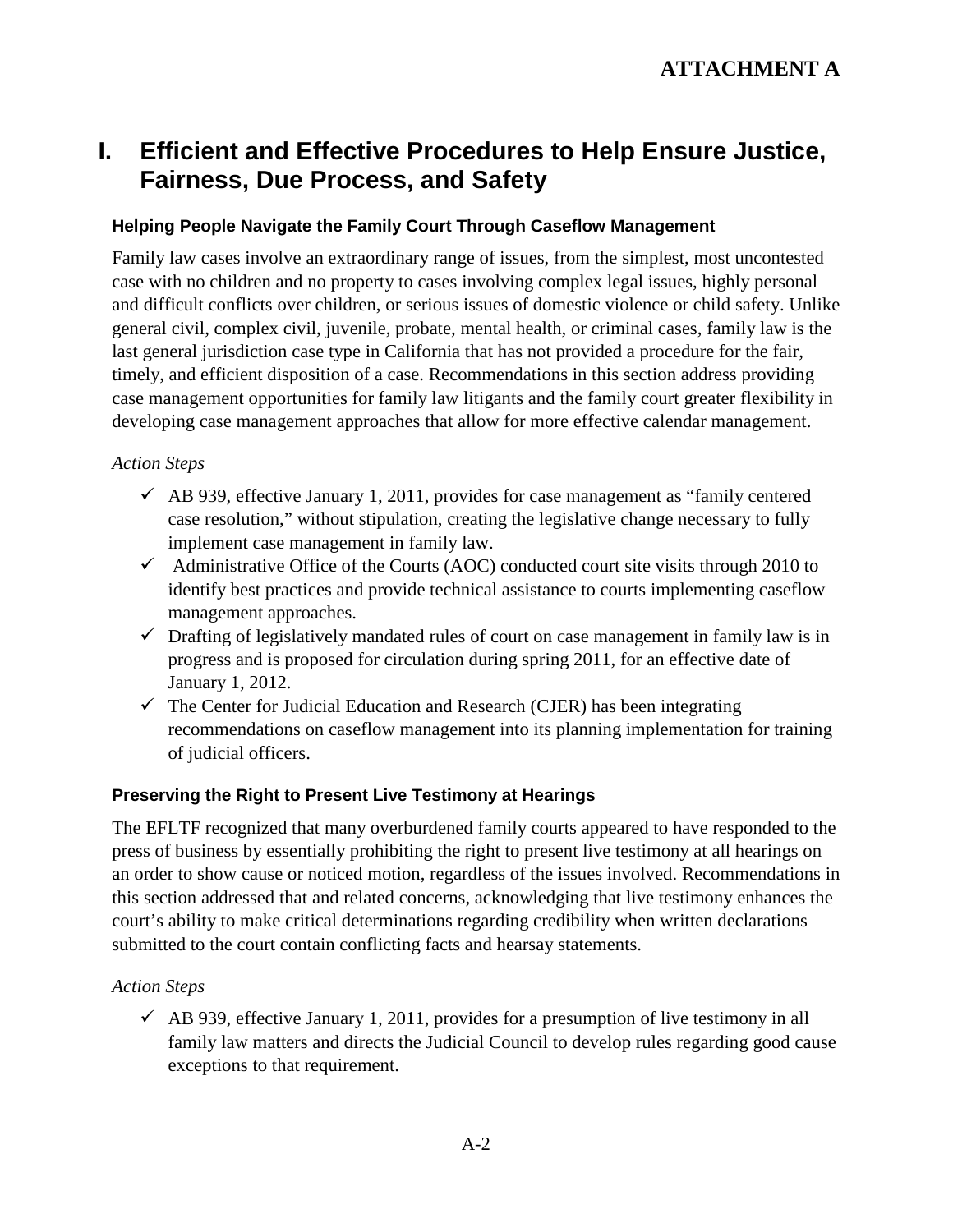# **I. Efficient and Effective Procedures to Help Ensure Justice, Fairness, Due Process, and Safety**

## **Helping People Navigate the Family Court Through Caseflow Management**

Family law cases involve an extraordinary range of issues, from the simplest, most uncontested case with no children and no property to cases involving complex legal issues, highly personal and difficult conflicts over children, or serious issues of domestic violence or child safety. Unlike general civil, complex civil, juvenile, probate, mental health, or criminal cases, family law is the last general jurisdiction case type in California that has not provided a procedure for the fair, timely, and efficient disposition of a case. Recommendations in this section address providing case management opportunities for family law litigants and the family court greater flexibility in developing case management approaches that allow for more effective calendar management.

## *Action Steps*

- $\checkmark$  AB 939, effective January 1, 2011, provides for case management as "family centered" case resolution," without stipulation, creating the legislative change necessary to fully implement case management in family law.
- $\checkmark$  Administrative Office of the Courts (AOC) conducted court site visits through 2010 to identify best practices and provide technical assistance to courts implementing caseflow management approaches.
- $\checkmark$  Drafting of legislatively mandated rules of court on case management in family law is in progress and is proposed for circulation during spring 2011, for an effective date of January 1, 2012.
- $\checkmark$  The Center for Judicial Education and Research (CJER) has been integrating recommendations on caseflow management into its planning implementation for training of judicial officers.

## **Preserving the Right to Present Live Testimony at Hearings**

The EFLTF recognized that many overburdened family courts appeared to have responded to the press of business by essentially prohibiting the right to present live testimony at all hearings on an order to show cause or noticed motion, regardless of the issues involved. Recommendations in this section addressed that and related concerns, acknowledging that live testimony enhances the court's ability to make critical determinations regarding credibility when written declarations submitted to the court contain conflicting facts and hearsay statements.

## *Action Steps*

 $\checkmark$  AB 939, effective January 1, 2011, provides for a presumption of live testimony in all family law matters and directs the Judicial Council to develop rules regarding good cause exceptions to that requirement.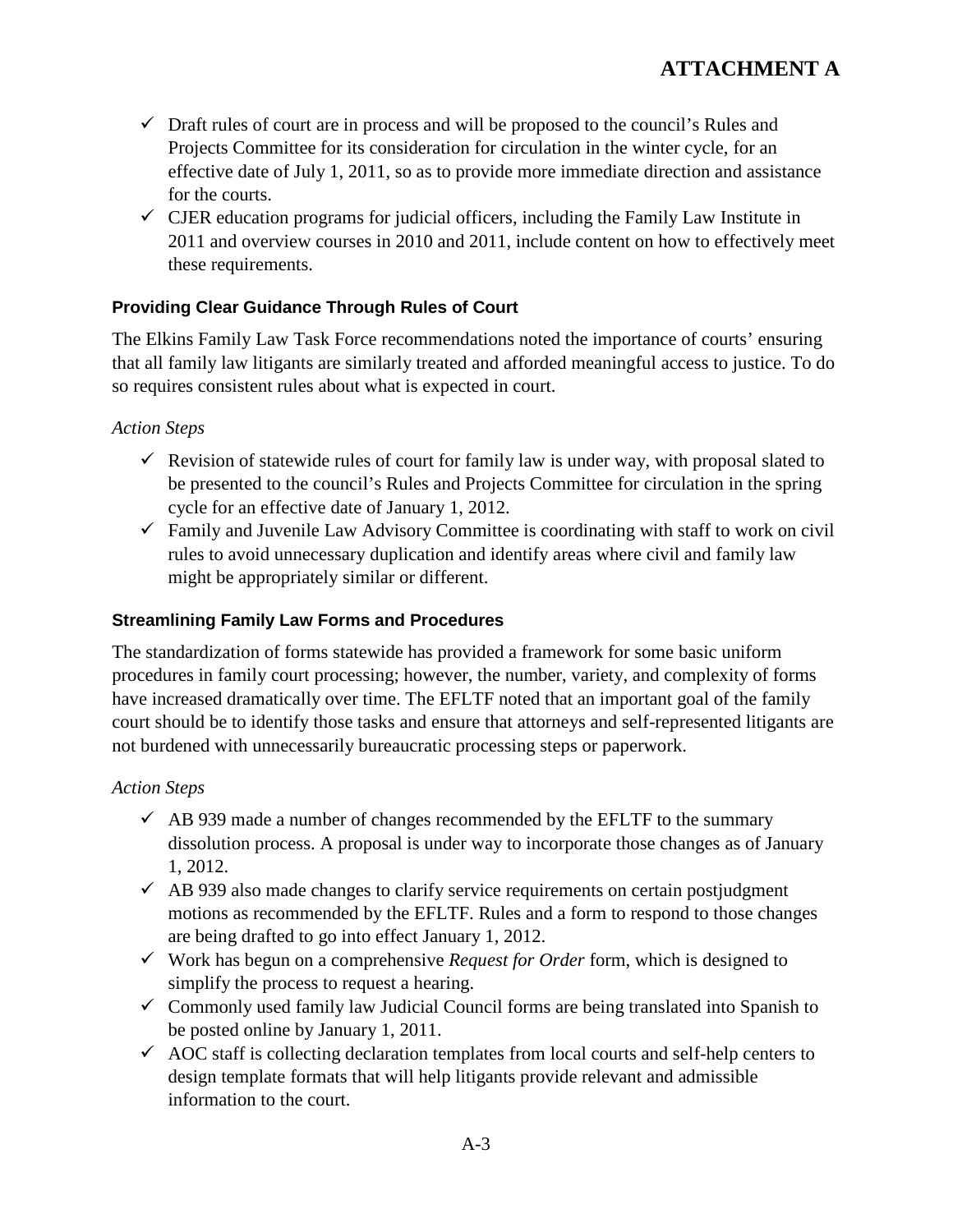- $\checkmark$  Draft rules of court are in process and will be proposed to the council's Rules and Projects Committee for its consideration for circulation in the winter cycle, for an effective date of July 1, 2011, so as to provide more immediate direction and assistance for the courts.
- $\checkmark$  CJER education programs for judicial officers, including the Family Law Institute in 2011 and overview courses in 2010 and 2011, include content on how to effectively meet these requirements.

## **Providing Clear Guidance Through Rules of Court**

The Elkins Family Law Task Force recommendations noted the importance of courts' ensuring that all family law litigants are similarly treated and afforded meaningful access to justice. To do so requires consistent rules about what is expected in court.

#### *Action Steps*

- $\checkmark$  Revision of statewide rules of court for family law is under way, with proposal slated to be presented to the council's Rules and Projects Committee for circulation in the spring cycle for an effective date of January 1, 2012.
- $\checkmark$  Family and Juvenile Law Advisory Committee is coordinating with staff to work on civil rules to avoid unnecessary duplication and identify areas where civil and family law might be appropriately similar or different.

### **Streamlining Family Law Forms and Procedures**

The standardization of forms statewide has provided a framework for some basic uniform procedures in family court processing; however, the number, variety, and complexity of forms have increased dramatically over time. The EFLTF noted that an important goal of the family court should be to identify those tasks and ensure that attorneys and self-represented litigants are not burdened with unnecessarily bureaucratic processing steps or paperwork.

- $\checkmark$  AB 939 made a number of changes recommended by the EFLTF to the summary dissolution process. A proposal is under way to incorporate those changes as of January 1, 2012.
- $\checkmark$  AB 939 also made changes to clarify service requirements on certain postjudgment motions as recommended by the EFLTF. Rules and a form to respond to those changes are being drafted to go into effect January 1, 2012.
- Work has begun on a comprehensive *Request for Order* form, which is designed to simplify the process to request a hearing.
- $\checkmark$  Commonly used family law Judicial Council forms are being translated into Spanish to be posted online by January 1, 2011.
- $\checkmark$  AOC staff is collecting declaration templates from local courts and self-help centers to design template formats that will help litigants provide relevant and admissible information to the court.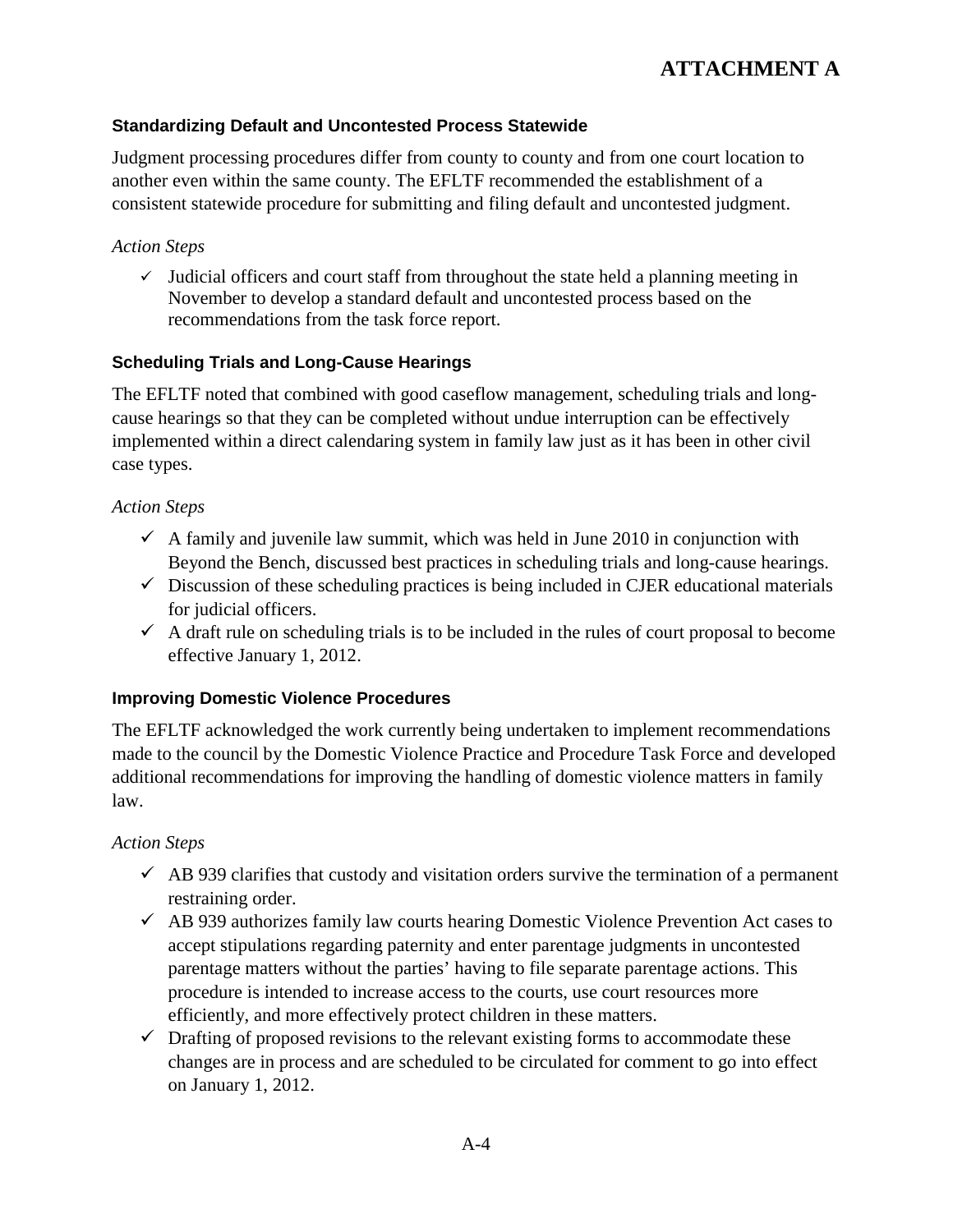## **Standardizing Default and Uncontested Process Statewide**

Judgment processing procedures differ from county to county and from one court location to another even within the same county. The EFLTF recommended the establishment of a consistent statewide procedure for submitting and filing default and uncontested judgment.

## *Action Steps*

 $\checkmark$  Judicial officers and court staff from throughout the state held a planning meeting in November to develop a standard default and uncontested process based on the recommendations from the task force report.

#### **Scheduling Trials and Long-Cause Hearings**

The EFLTF noted that combined with good caseflow management, scheduling trials and longcause hearings so that they can be completed without undue interruption can be effectively implemented within a direct calendaring system in family law just as it has been in other civil case types.

#### *Action Steps*

- $\checkmark$  A family and juvenile law summit, which was held in June 2010 in conjunction with Beyond the Bench, discussed best practices in scheduling trials and long-cause hearings.
- $\checkmark$  Discussion of these scheduling practices is being included in CJER educational materials for judicial officers.
- $\checkmark$  A draft rule on scheduling trials is to be included in the rules of court proposal to become effective January 1, 2012.

#### **Improving Domestic Violence Procedures**

The EFLTF acknowledged the work currently being undertaken to implement recommendations made to the council by the Domestic Violence Practice and Procedure Task Force and developed additional recommendations for improving the handling of domestic violence matters in family law.

- $\checkmark$  AB 939 clarifies that custody and visitation orders survive the termination of a permanent restraining order.
- $\checkmark$  AB 939 authorizes family law courts hearing Domestic Violence Prevention Act cases to accept stipulations regarding paternity and enter parentage judgments in uncontested parentage matters without the parties' having to file separate parentage actions. This procedure is intended to increase access to the courts, use court resources more efficiently, and more effectively protect children in these matters.
- $\checkmark$  Drafting of proposed revisions to the relevant existing forms to accommodate these changes are in process and are scheduled to be circulated for comment to go into effect on January 1, 2012.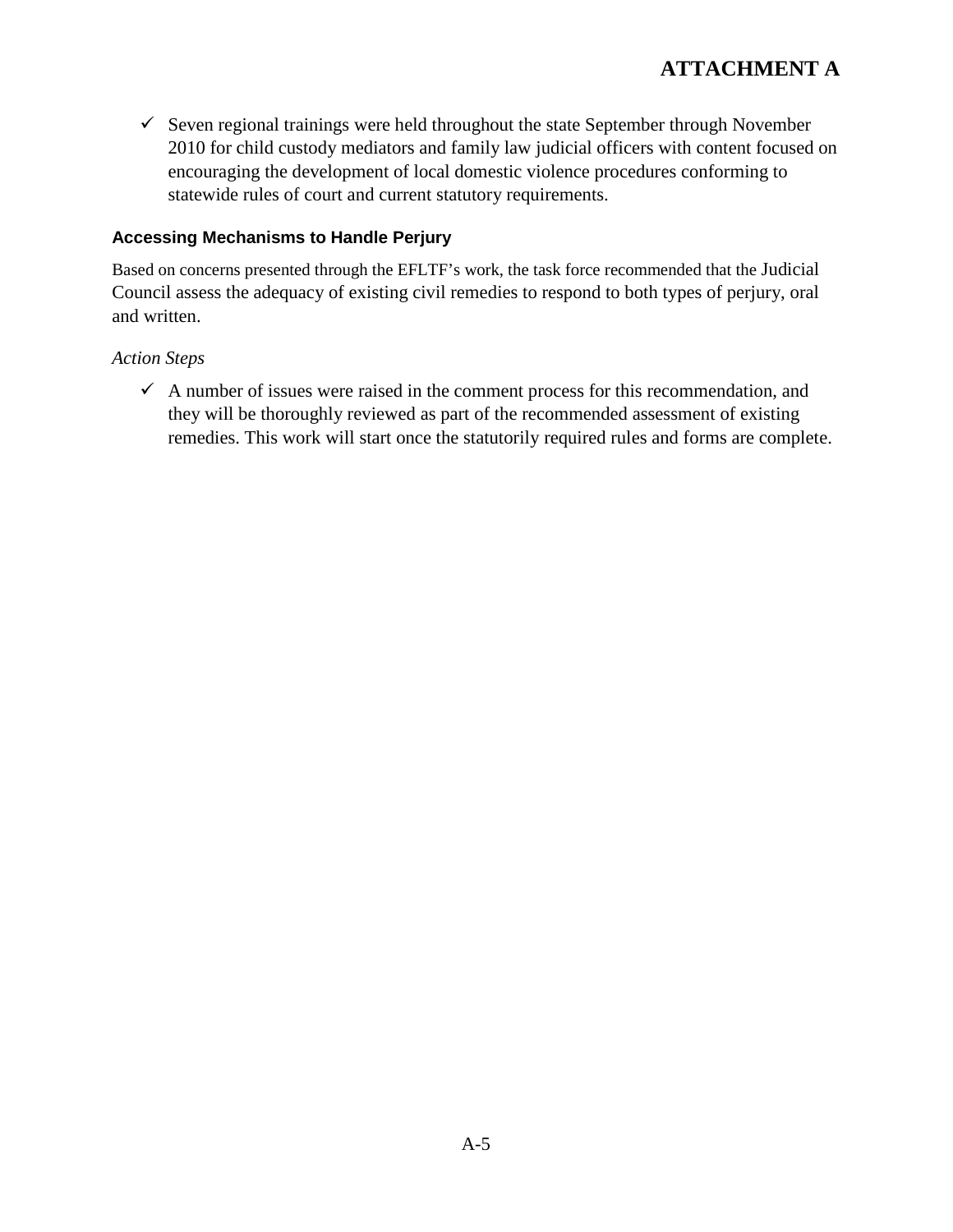$\checkmark$  Seven regional trainings were held throughout the state September through November 2010 for child custody mediators and family law judicial officers with content focused on encouraging the development of local domestic violence procedures conforming to statewide rules of court and current statutory requirements.

#### **Accessing Mechanisms to Handle Perjury**

Based on concerns presented through the EFLTF's work, the task force recommended that the Judicial Council assess the adequacy of existing civil remedies to respond to both types of perjury, oral and written.

## *Action Steps*

 $\checkmark$  A number of issues were raised in the comment process for this recommendation, and they will be thoroughly reviewed as part of the recommended assessment of existing remedies. This work will start once the statutorily required rules and forms are complete.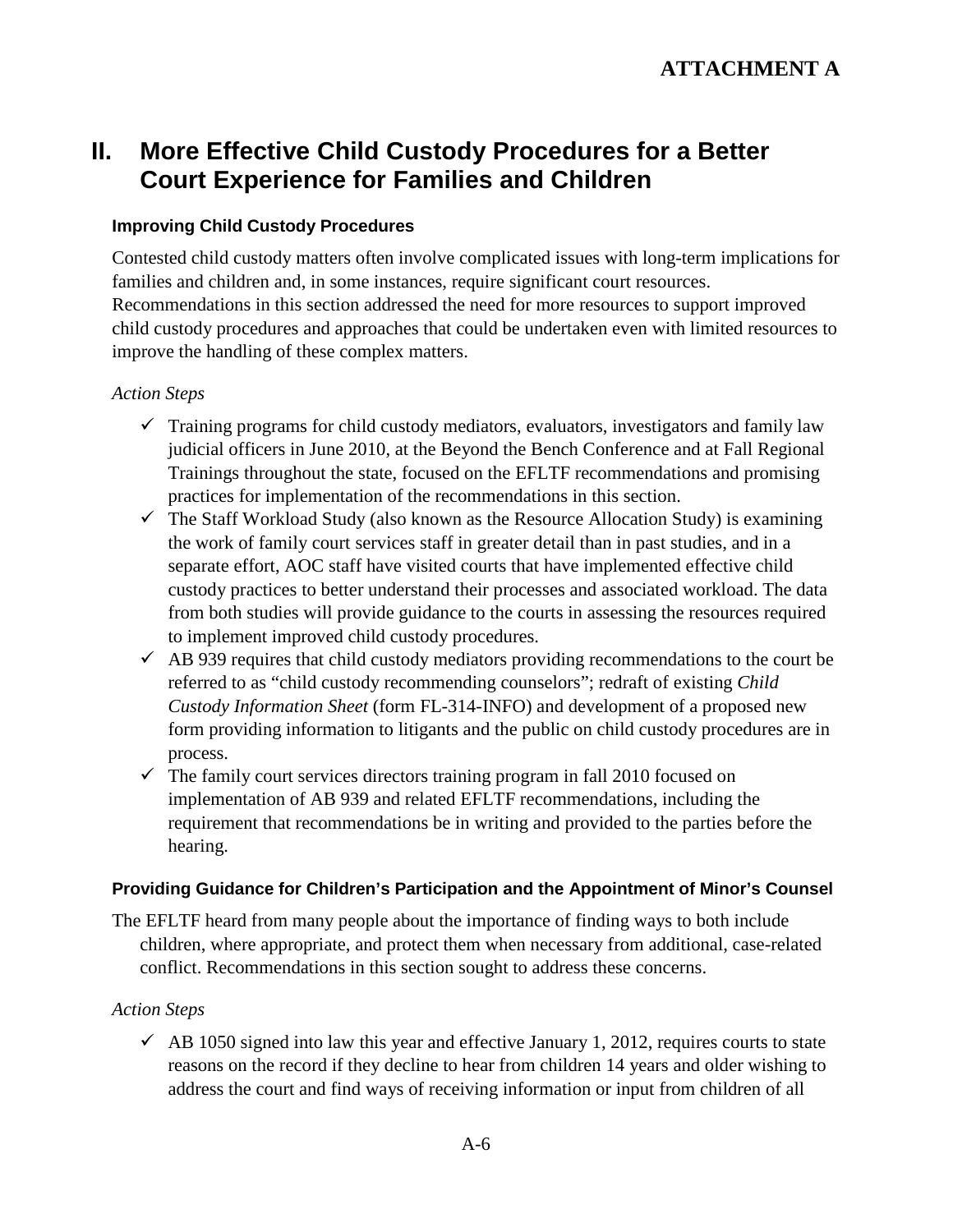# **II. More Effective Child Custody Procedures for a Better Court Experience for Families and Children**

#### **Improving Child Custody Procedures**

Contested child custody matters often involve complicated issues with long-term implications for families and children and, in some instances, require significant court resources. Recommendations in this section addressed the need for more resources to support improved child custody procedures and approaches that could be undertaken even with limited resources to improve the handling of these complex matters.

#### *Action Steps*

- $\checkmark$  Training programs for child custody mediators, evaluators, investigators and family law judicial officers in June 2010, at the Beyond the Bench Conference and at Fall Regional Trainings throughout the state, focused on the EFLTF recommendations and promising practices for implementation of the recommendations in this section.
- $\checkmark$  The Staff Workload Study (also known as the Resource Allocation Study) is examining the work of family court services staff in greater detail than in past studies, and in a separate effort, AOC staff have visited courts that have implemented effective child custody practices to better understand their processes and associated workload. The data from both studies will provide guidance to the courts in assessing the resources required to implement improved child custody procedures.
- $\overrightarrow{AB}$  939 requires that child custody mediators providing recommendations to the court be referred to as "child custody recommending counselors"; redraft of existing *Child Custody Information Sheet* (form FL-314-INFO) and development of a proposed new form providing information to litigants and the public on child custody procedures are in process.
- $\checkmark$  The family court services directors training program in fall 2010 focused on implementation of AB 939 and related EFLTF recommendations, including the requirement that recommendations be in writing and provided to the parties before the hearing.

#### **Providing Guidance for Children's Participation and the Appointment of Minor's Counsel**

The EFLTF heard from many people about the importance of finding ways to both include children, where appropriate, and protect them when necessary from additional, case-related conflict. Recommendations in this section sought to address these concerns.

#### *Action Steps*

 $\sim$  AB 1050 signed into law this year and effective January 1, 2012, requires courts to state reasons on the record if they decline to hear from children 14 years and older wishing to address the court and find ways of receiving information or input from children of all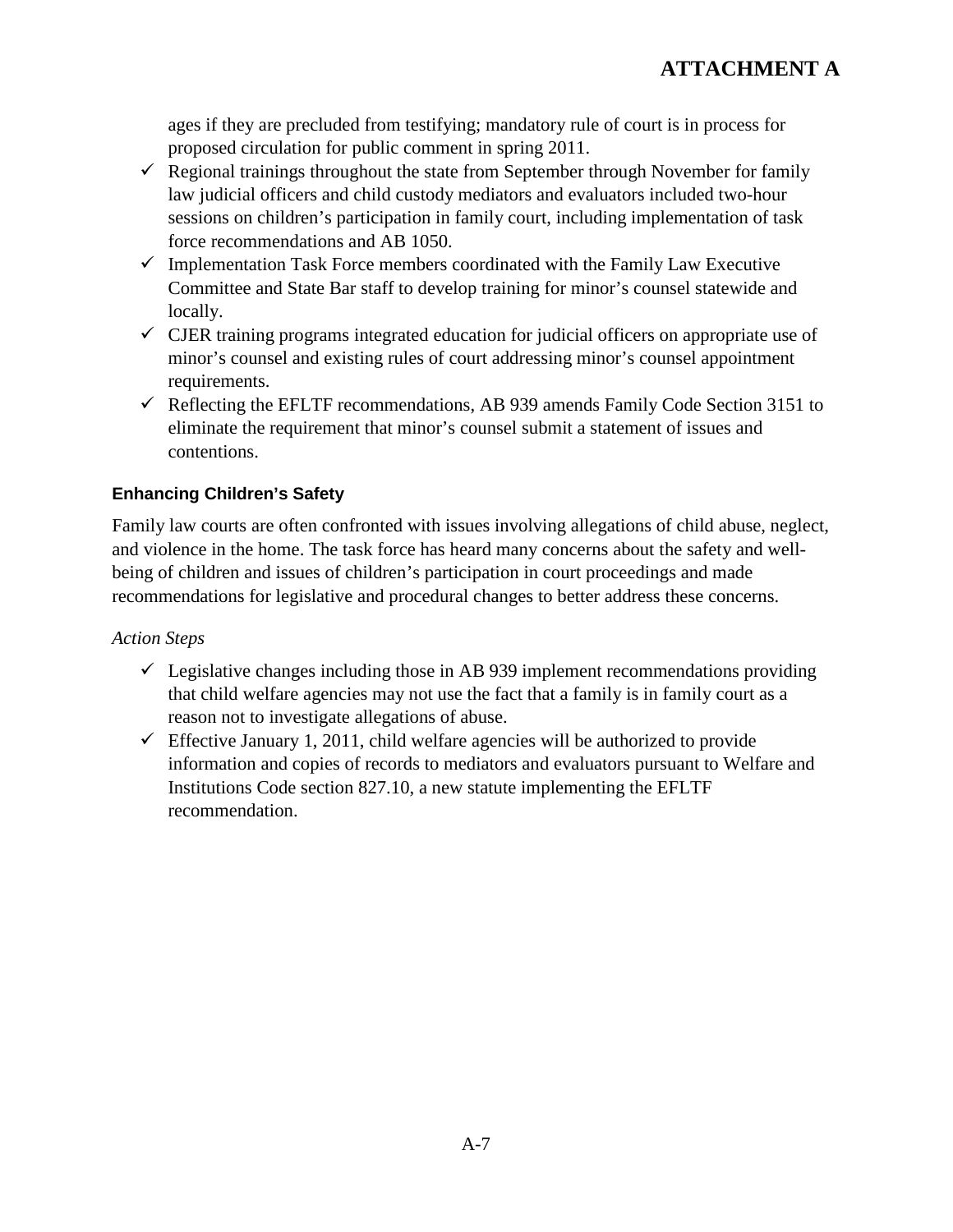ages if they are precluded from testifying; mandatory rule of court is in process for proposed circulation for public comment in spring 2011.

- $\checkmark$  Regional trainings throughout the state from September through November for family law judicial officers and child custody mediators and evaluators included two-hour sessions on children's participation in family court, including implementation of task force recommendations and AB 1050.
- $\checkmark$  Implementation Task Force members coordinated with the Family Law Executive Committee and State Bar staff to develop training for minor's counsel statewide and locally.
- $\checkmark$  CJER training programs integrated education for judicial officers on appropriate use of minor's counsel and existing rules of court addressing minor's counsel appointment requirements.
- $\checkmark$  Reflecting the EFLTF recommendations, AB 939 amends Family Code Section 3151 to eliminate the requirement that minor's counsel submit a statement of issues and contentions.

## **Enhancing Children's Safety**

Family law courts are often confronted with issues involving allegations of child abuse, neglect, and violence in the home. The task force has heard many concerns about the safety and wellbeing of children and issues of children's participation in court proceedings and made recommendations for legislative and procedural changes to better address these concerns.

- $\checkmark$  Legislative changes including those in AB 939 implement recommendations providing that child welfare agencies may not use the fact that a family is in family court as a reason not to investigate allegations of abuse.
- $\checkmark$  Effective January 1, 2011, child welfare agencies will be authorized to provide information and copies of records to mediators and evaluators pursuant to Welfare and Institutions Code section 827.10, a new statute implementing the EFLTF recommendation.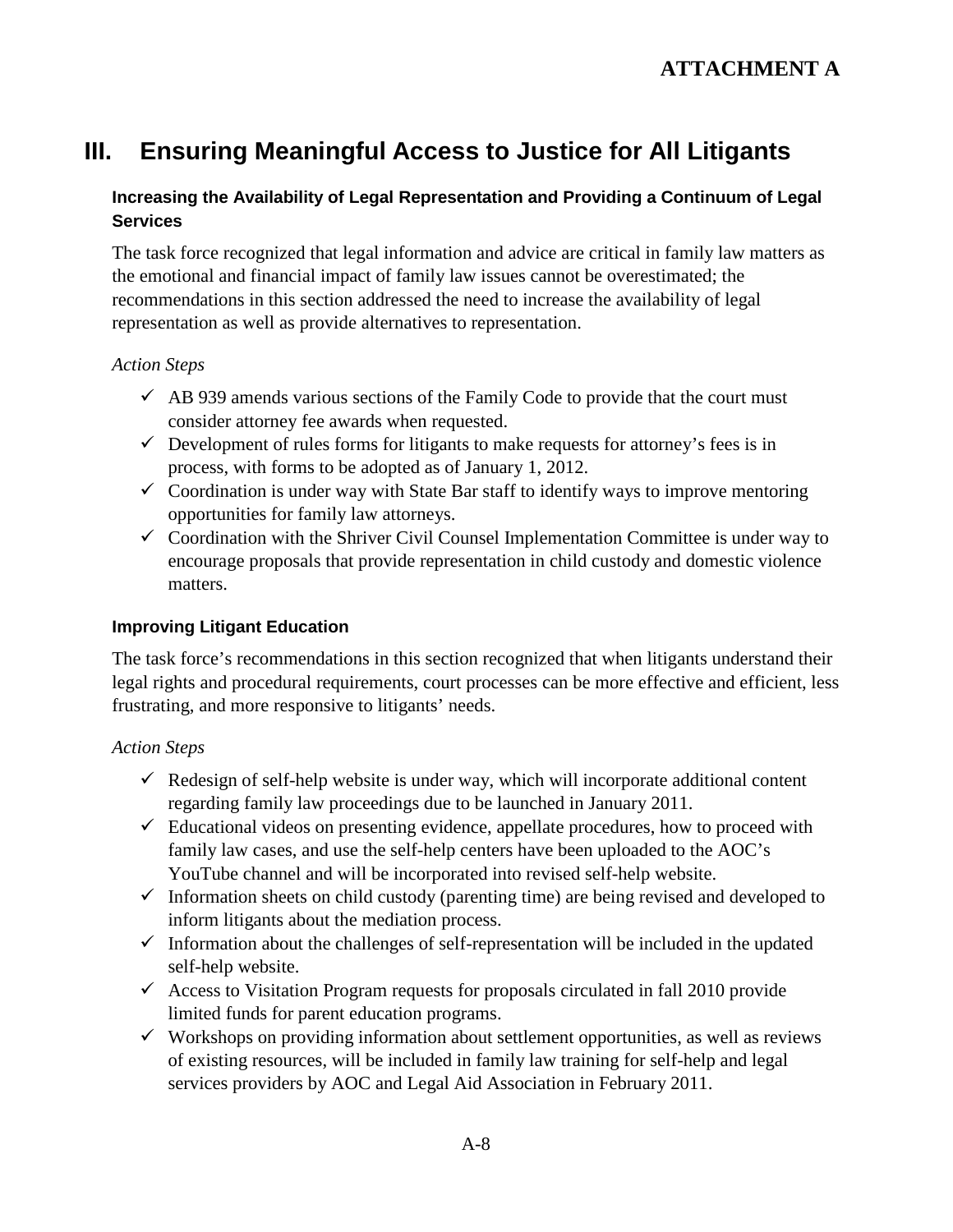# **III. Ensuring Meaningful Access to Justice for All Litigants**

## **Increasing the Availability of Legal Representation and Providing a Continuum of Legal Services**

The task force recognized that legal information and advice are critical in family law matters as the emotional and financial impact of family law issues cannot be overestimated; the recommendations in this section addressed the need to increase the availability of legal representation as well as provide alternatives to representation.

#### *Action Steps*

- $\overrightarrow{AB}$  939 amends various sections of the Family Code to provide that the court must consider attorney fee awards when requested.
- $\checkmark$  Development of rules forms for litigants to make requests for attorney's fees is in process, with forms to be adopted as of January 1, 2012.
- $\checkmark$  Coordination is under way with State Bar staff to identify ways to improve mentoring opportunities for family law attorneys.
- $\checkmark$  Coordination with the Shriver Civil Counsel Implementation Committee is under way to encourage proposals that provide representation in child custody and domestic violence matters.

#### **Improving Litigant Education**

The task force's recommendations in this section recognized that when litigants understand their legal rights and procedural requirements, court processes can be more effective and efficient, less frustrating, and more responsive to litigants' needs.

- $\checkmark$  Redesign of self-help website is under way, which will incorporate additional content regarding family law proceedings due to be launched in January 2011.
- $\checkmark$  Educational videos on presenting evidence, appellate procedures, how to proceed with family law cases, and use the self-help centers have been uploaded to the AOC's YouTube channel and will be incorporated into revised self-help website.
- $\checkmark$  Information sheets on child custody (parenting time) are being revised and developed to inform litigants about the mediation process.
- $\checkmark$  Information about the challenges of self-representation will be included in the updated self-help website.
- $\checkmark$  Access to Visitation Program requests for proposals circulated in fall 2010 provide limited funds for parent education programs.
- $\checkmark$  Workshops on providing information about settlement opportunities, as well as reviews of existing resources, will be included in family law training for self-help and legal services providers by AOC and Legal Aid Association in February 2011.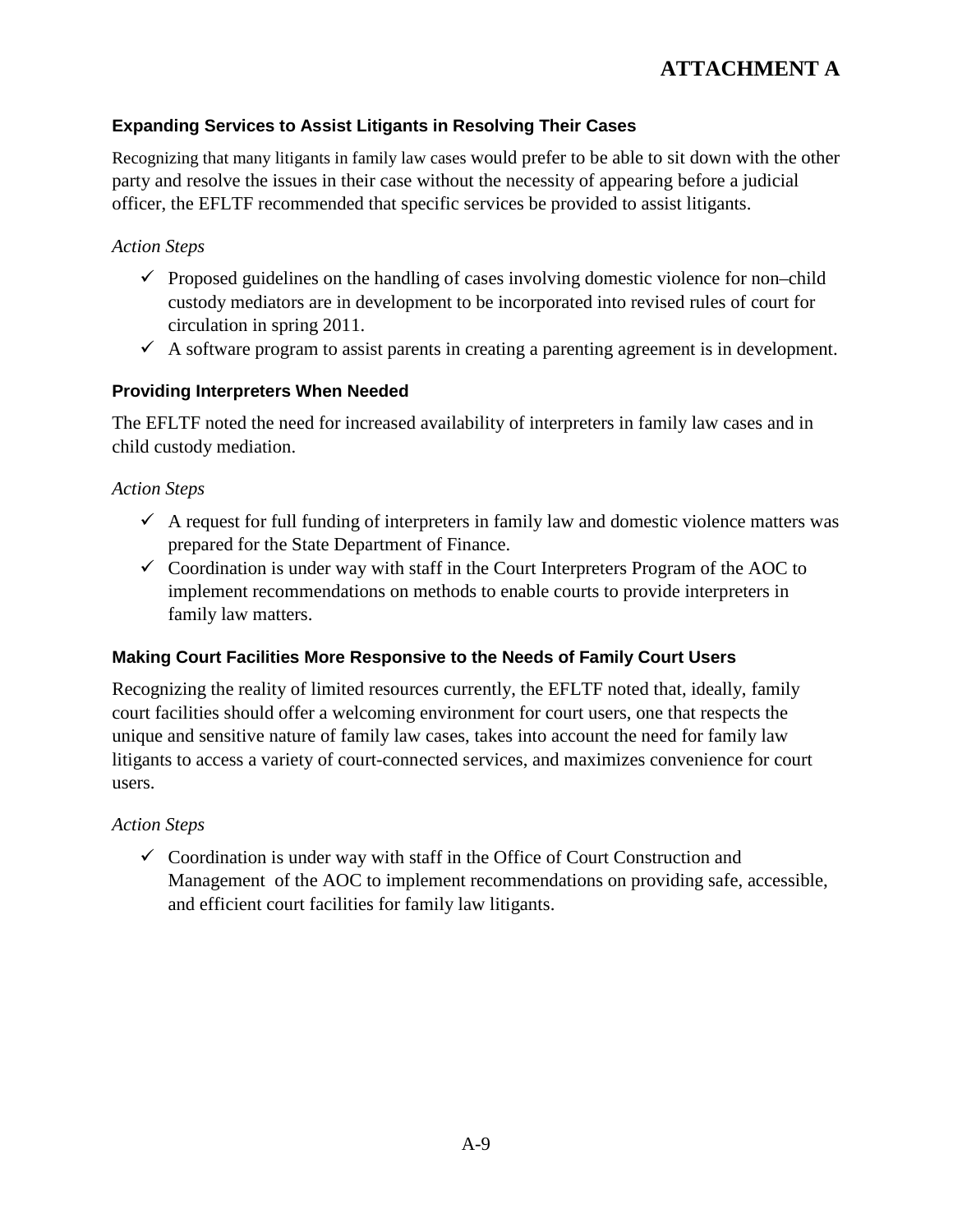## **ATTACHMENT A**

#### **Expanding Services to Assist Litigants in Resolving Their Cases**

Recognizing that many litigants in family law cases would prefer to be able to sit down with the other party and resolve the issues in their case without the necessity of appearing before a judicial officer, the EFLTF recommended that specific services be provided to assist litigants.

### *Action Steps*

- $\checkmark$  Proposed guidelines on the handling of cases involving domestic violence for non–child custody mediators are in development to be incorporated into revised rules of court for circulation in spring 2011.
- $\checkmark$  A software program to assist parents in creating a parenting agreement is in development.

#### **Providing Interpreters When Needed**

The EFLTF noted the need for increased availability of interpreters in family law cases and in child custody mediation.

#### *Action Steps*

- $\checkmark$  A request for full funding of interpreters in family law and domestic violence matters was prepared for the State Department of Finance.
- $\checkmark$  Coordination is under way with staff in the Court Interpreters Program of the AOC to implement recommendations on methods to enable courts to provide interpreters in family law matters.

#### **Making Court Facilities More Responsive to the Needs of Family Court Users**

Recognizing the reality of limited resources currently, the EFLTF noted that, ideally, family court facilities should offer a welcoming environment for court users, one that respects the unique and sensitive nature of family law cases, takes into account the need for family law litigants to access a variety of court-connected services, and maximizes convenience for court users.

#### *Action Steps*

 $\checkmark$  Coordination is under way with staff in the Office of Court Construction and Management of the AOC to implement recommendations on providing safe, accessible, and efficient court facilities for family law litigants.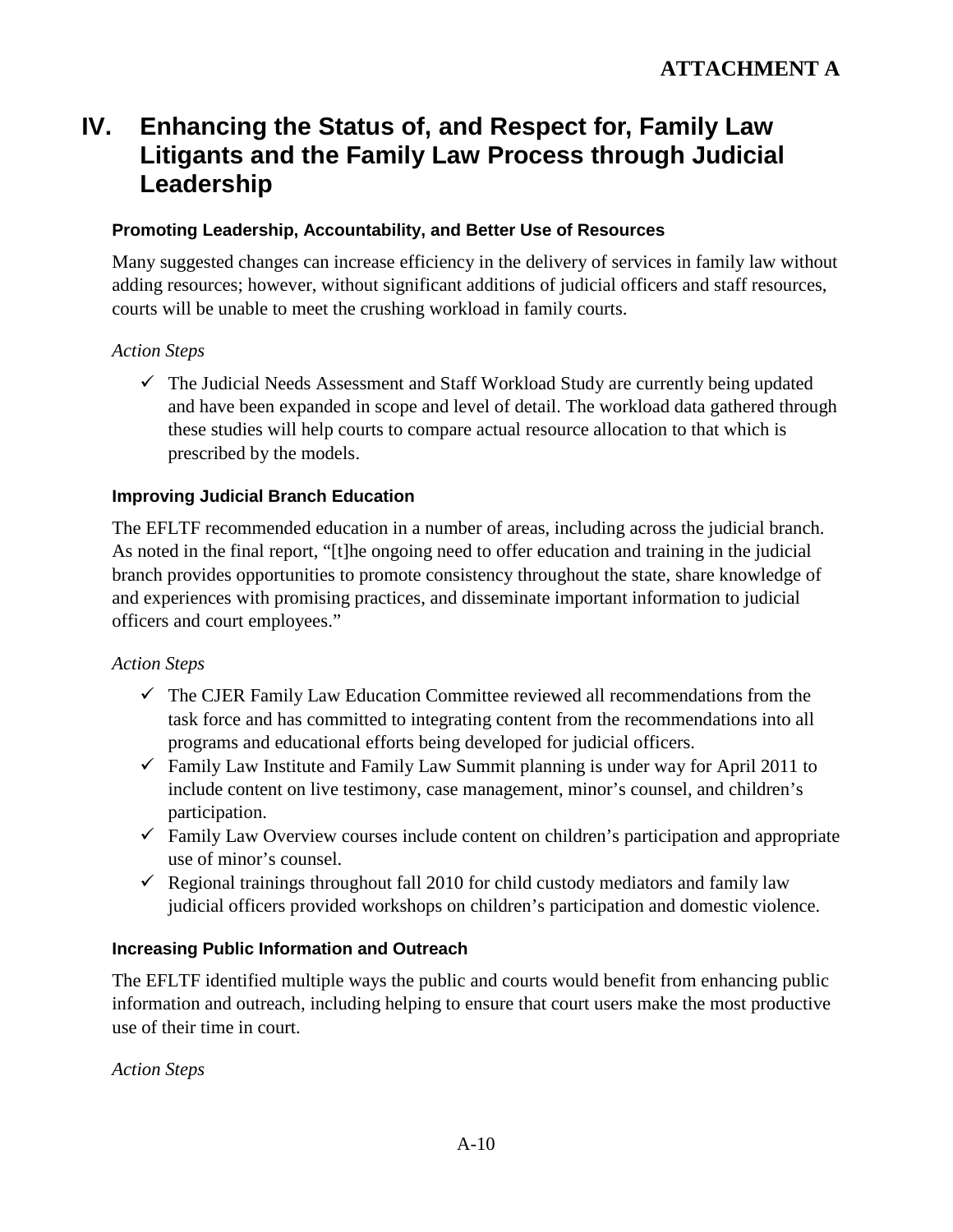# **IV. Enhancing the Status of, and Respect for, Family Law Litigants and the Family Law Process through Judicial Leadership**

### **Promoting Leadership, Accountability, and Better Use of Resources**

Many suggested changes can increase efficiency in the delivery of services in family law without adding resources; however, without significant additions of judicial officers and staff resources, courts will be unable to meet the crushing workload in family courts.

#### *Action Steps*

 $\checkmark$  The Judicial Needs Assessment and Staff Workload Study are currently being updated and have been expanded in scope and level of detail. The workload data gathered through these studies will help courts to compare actual resource allocation to that which is prescribed by the models.

#### **Improving Judicial Branch Education**

The EFLTF recommended education in a number of areas, including across the judicial branch. As noted in the final report, "[t]he ongoing need to offer education and training in the judicial branch provides opportunities to promote consistency throughout the state, share knowledge of and experiences with promising practices, and disseminate important information to judicial officers and court employees."

#### *Action Steps*

- $\checkmark$  The CJER Family Law Education Committee reviewed all recommendations from the task force and has committed to integrating content from the recommendations into all programs and educational efforts being developed for judicial officers.
- $\checkmark$  Family Law Institute and Family Law Summit planning is under way for April 2011 to include content on live testimony, case management, minor's counsel, and children's participation.
- $\checkmark$  Family Law Overview courses include content on children's participation and appropriate use of minor's counsel.
- Regional trainings throughout fall 2010 for child custody mediators and family law judicial officers provided workshops on children's participation and domestic violence.

#### **Increasing Public Information and Outreach**

The EFLTF identified multiple ways the public and courts would benefit from enhancing public information and outreach, including helping to ensure that court users make the most productive use of their time in court.